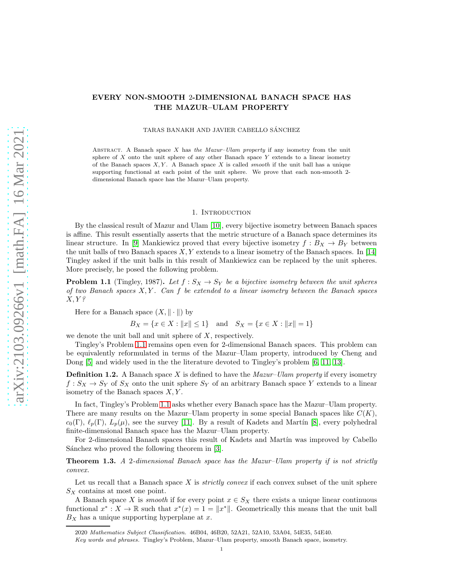# EVERY NON-SMOOTH 2-DIMENSIONAL BANACH SPACE HAS THE MAZUR–ULAM PROPERTY

TARAS BANAKH AND JAVIER CABELLO SÁNCHEZ

Abstract. A Banach space X has *the Mazur–Ulam property* if any isometry from the unit sphere of  $X$  onto the unit sphere of any other Banach space  $Y$  extends to a linear isometry of the Banach spaces X, Y . A Banach space X is called *smooth* if the unit ball has a unique supporting functional at each point of the unit sphere. We prove that each non-smooth 2 dimensional Banach space has the Mazur–Ulam property.

#### 1. Introduction

By the classical result of Mazur and Ulam [\[10\]](#page-12-0), every bijective isometry between Banach spaces is affine. This result essentially asserts that the metric structure of a Banach space determines its linear structure. In [\[9\]](#page-12-1) Mankiewicz proved that every bijective isometry  $f : B_X \to B_Y$  between the unit balls of two Banach spaces  $X, Y$  extends to a linear isometry of the Banach spaces. In [\[14\]](#page-12-2) Tingley asked if the unit balls in this result of Mankiewicz can be replaced by the unit spheres. More precisely, he posed the following problem.

<span id="page-0-0"></span>**Problem 1.1** (Tingley, 1987). Let  $f : S_X \to S_Y$  be a bijective isometry between the unit spheres of two Banach spaces  $X, Y$ . Can f be extended to a linear isometry between the Banach spaces  $X, Y$ ?

Here for a Banach space  $(X, \|\cdot\|)$  by

$$
B_X = \{ x \in X : ||x|| \le 1 \} \text{ and } S_X = \{ x \in X : ||x|| = 1 \}
$$

we denote the unit ball and unit sphere of  $X$ , respectively.

Tingley's Problem [1.1](#page-0-0) remains open even for 2-dimensional Banach spaces. This problem can be equivalently reformulated in terms of the Mazur–Ulam property, introduced by Cheng and Dong [\[5\]](#page-12-3) and widely used in the the literature devoted to Tingley's problem [\[6,](#page-12-4) [11,](#page-12-5) [13\]](#page-12-6).

**Definition 1.2.** A Banach space X is defined to have the *Mazur–Ulam property* if every isometry  $f: S_X \to S_Y$  of  $S_X$  onto the unit sphere  $S_Y$  of an arbitrary Banach space Y extends to a linear isometry of the Banach spaces  $X, Y$ .

In fact, Tingley's Problem [1.1](#page-0-0) asks whether every Banach space has the Mazur–Ulam property. There are many results on the Mazur–Ulam property in some special Banach spaces like  $C(K)$ ,  $c_0(\Gamma)$ ,  $\ell_p(\Gamma)$ ,  $L_p(\mu)$ , see the survey [\[11\]](#page-12-5). By a result of Kadets and Martin [\[8\]](#page-12-7), every polyhedral finite-dimensional Banach space has the Mazur–Ulam property.

For 2-dimensional Banach spaces this result of Kadets and Martín was improved by Cabello Sánchez who proved the following theorem in [\[3\]](#page-12-8).

<span id="page-0-1"></span>Theorem 1.3. A 2-dimensional Banach space has the Mazur–Ulam property if is not strictly convex.

Let us recall that a Banach space X is *strictly convex* if each convex subset of the unit sphere  $S_X$  contains at most one point.

A Banach space X is smooth if for every point  $x \in S_X$  there exists a unique linear continuous functional  $x^*: X \to \mathbb{R}$  such that  $x^*(x) = 1 = ||x^*||$ . Geometrically this means that the unit ball  $B_X$  has a unique supporting hyperplane at x.

<sup>2020</sup> *Mathematics Subject Classification.* 46B04, 46B20, 52A21, 52A10, 53A04, 54E35, 54E40.

*Key words and phrases.* Tingley's Problem, Mazur–Ulam property, smooth Banach space, isometry.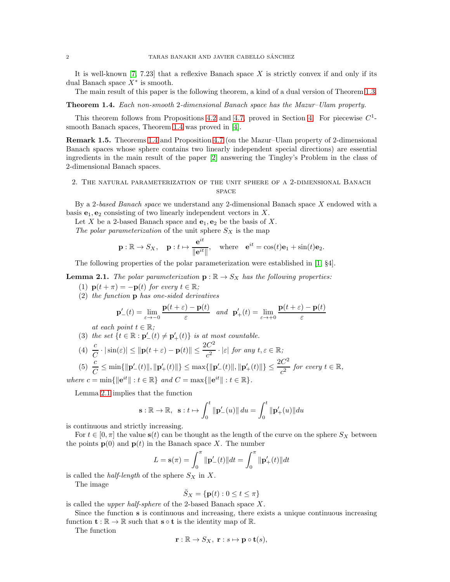It is well-known  $[7, 7.23]$  that a reflexive Banach space X is strictly convex if and only if its dual Banach space  $X^*$  is smooth.

The main result of this paper is the following theorem, a kind of a dual version of Theorem [1.3.](#page-0-1)

<span id="page-1-0"></span>Theorem 1.4. Each non-smooth 2-dimensional Banach space has the Mazur–Ulam property.

This theorem follows from Propositions [4.2](#page-6-0) and [4.7,](#page-8-0) proved in Section [4.](#page-6-1) For piecewise  $C<sup>1</sup>$ smooth Banach spaces, Theorem [1.4](#page-1-0) was proved in [\[4\]](#page-12-10).

Remark 1.5. Theorems [1.4](#page-1-0) and Proposition [4.7](#page-8-0) (on the Mazur–Ulam property of 2-dimensional Banach spaces whose sphere contains two linearly independent special directions) are essential ingredients in the main result of the paper [\[2\]](#page-12-11) answering the Tingley's Problem in the class of 2-dimensional Banach spaces.

# 2. The natural parameterization of the unit sphere of a 2-dimensional Banach **SPACE**

By a 2-based Banach space we understand any 2-dimensional Banach space X endowed with a basis  $e_1, e_2$  consisting of two linearly independent vectors in X.

Let X be a 2-based Banach space and  $e_1, e_2$  be the basis of X.

The polar parameterization of the unit sphere  $S_X$  is the map

$$
\mathbf{p} : \mathbb{R} \to S_X, \quad \mathbf{p} : t \mapsto \frac{\mathbf{e}^{it}}{\|\mathbf{e}^{it}\|}, \quad \text{where} \quad \mathbf{e}^{it} = \cos(t)\mathbf{e}_1 + \sin(t)\mathbf{e}_2.
$$

The following properties of the polar parameterization were established in [\[1,](#page-12-12) §4].

<span id="page-1-1"></span>**Lemma 2.1.** The polar parameterization  $\mathbf{p} : \mathbb{R} \to S_X$  has the following properties:

- (1)  $\mathbf{p}(t+\pi) = -\mathbf{p}(t)$  for every  $t \in \mathbb{R}$ ;
- (2) the function p has one-sided derivatives

$$
\mathbf{p}'_-(t) = \lim_{\varepsilon \to -0} \frac{\mathbf{p}(t + \varepsilon) - \mathbf{p}(t)}{\varepsilon} \quad \text{and} \quad \mathbf{p}'_+(t) = \lim_{\varepsilon \to +0} \frac{\mathbf{p}(t + \varepsilon) - \mathbf{p}(t)}{\varepsilon}
$$

at each point  $t \in \mathbb{R}$ ;

(3) the set  $\{t \in \mathbb{R} : \mathbf{p}'_-(t) \neq \mathbf{p}'_+(t)\}$  is at most countable.

(4)  $\frac{c}{C} \cdot |\sin(\varepsilon)| \le ||\mathbf{p}(t+\varepsilon) - \mathbf{p}(t)|| \le \frac{2C^2}{c^2}$  $\frac{C}{c^2} \cdot |\varepsilon|$  for any  $t, \varepsilon \in \mathbb{R}$ ; (5)  $\frac{c}{C} \le \min{\{\|\mathbf{p}'_-(t)\|, \|\mathbf{p}'_+(t)\|\}} \le \max{\{\|\mathbf{p}'_-(t)\|, \|\mathbf{p}'_+(t)\|\}} \le \frac{2C^2}{c^2}$  $\frac{C}{c^2}$  for every  $t \in \mathbb{R}$ ,

where  $c = \min{ {\|\mathbf{e}^{it}\| : t \in \mathbb{R} } \}$  and  $C = \max{ {\|\mathbf{e}^{it}\| : t \in \mathbb{R} } \}.$ 

Lemma [2.1](#page-1-1) implies that the function

$$
\mathbf{s} : \mathbb{R} \to \mathbb{R}, \ \ \mathbf{s} : t \mapsto \int_0^t \|\mathbf{p}'_-(u)\| \, du = \int_0^t \|\mathbf{p}'_+(u)\| \, du
$$

is continuous and strictly increasing.

For  $t \in [0, \pi]$  the value  $s(t)$  can be thought as the length of the curve on the sphere  $S_X$  between the points  $p(0)$  and  $p(t)$  in the Banach space X. The number

$$
L = \mathbf{s}(\pi) = \int_0^{\pi} ||\mathbf{p}'_-(t)||dt = \int_0^{\pi} ||\mathbf{p}'_+(t)||dt
$$

is called the *half-length* of the sphere  $S_X$  in X.

The image

$$
\breve{S}_X = \{ \mathbf{p}(t) : 0 \le t \le \pi \}
$$

is called the *upper half-sphere* of the 2-based Banach space  $X$ .

Since the function s is continuous and increasing, there exists a unique continuous increasing function  $\mathbf{t} : \mathbb{R} \to \mathbb{R}$  such that  $\mathbf{s} \circ \mathbf{t}$  is the identity map of  $\mathbb{R}$ .

The function

$$
\mathbf{r} : \mathbb{R} \to S_X, \; \mathbf{r} : s \mapsto \mathbf{p} \circ \mathbf{t}(s),
$$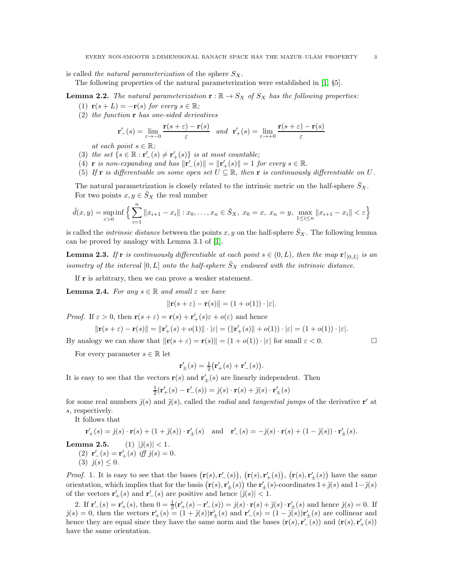is called the natural parameterization of the sphere  $S_X$ .

The following properties of the natural parameterization were established in [\[1,](#page-12-12) §5].

<span id="page-2-1"></span>**Lemma 2.2.** The natural parameterization  $\mathbf{r} : \mathbb{R} \to S_X$  of  $S_X$  has the following properties:

- (1)  $\mathbf{r}(s+L) = -\mathbf{r}(s)$  for every  $s \in \mathbb{R}$ ;
- (2) the function r has one-sided derivatives

$$
\mathbf{r}'_{-}(s) = \lim_{\varepsilon \to -0} \frac{\mathbf{r}(s + \varepsilon) - \mathbf{r}(s)}{\varepsilon} \quad and \quad \mathbf{r}'_{+}(s) = \lim_{\varepsilon \to +0} \frac{\mathbf{r}(s + \varepsilon) - \mathbf{r}(s)}{\varepsilon}
$$

at each point  $s \in \mathbb{R}$ ;

- (3) the set  $\{s \in \mathbb{R} : \mathbf{r}'_{-}(s) \neq \mathbf{r}'_{+}(s)\}$  is at most countable;
- (4) **r** is non-expanding and has  $\|\mathbf{r}'_-(s)\| = \|\mathbf{r}'_+(s)\| = 1$  for every  $s \in \mathbb{R}$ .
- (5) If **r** is differentiable on some open set  $U \subseteq \mathbb{R}$ , then **r** is continuously differentiable on U.

The natural parametrization is closely related to the intrinsic metric on the half-sphere  $S_X$ . For two points  $x, y \in \check{S}_X$  the real number

$$
\check{d}(x,y) = \sup_{\varepsilon > 0} \inf \left\{ \sum_{i=1}^n \|x_{i+1} - x_i\| : x_0, \dots, x_n \in \check{S}_X, \ x_0 = x, \ x_n = y, \ \max_{1 \le i \le n} \|x_{i+1} - x_i\| < \varepsilon \right\}
$$

is called the *intrinsic distance* between the points x, y on the half-sphere  $S_X$ . The following lemma can be proved by analogy with Lemma 3.1 of [\[1\]](#page-12-12).

<span id="page-2-2"></span>**Lemma 2.3.** If **r** is continuously differentiable at each point  $s \in (0, L)$ , then the map  $\mathbf{r} \restriction_{[0, L]}$  is an isometry of the interval  $[0, L]$  onto the half-sphere  $\check{S}_X$  endowed with the intrinsic distance.

If r is arbitrary, then we can prove a weaker statement.

<span id="page-2-0"></span>**Lemma 2.4.** For any  $s \in \mathbb{R}$  and small  $\varepsilon$  we have

$$
\|\mathbf{r}(s+\varepsilon) - \mathbf{r}(s)\| = (1+o(1)) \cdot |\varepsilon|.
$$

*Proof.* If  $\varepsilon > 0$ , then  $\mathbf{r}(s + \varepsilon) = \mathbf{r}(s) + \mathbf{r}'_+(s)\varepsilon + o(\varepsilon)$  and hence

$$
\|\mathbf{r}(s+\varepsilon)-\mathbf{r}(s)\|=\|\mathbf{r}_+'(s)+o(1)\|\cdot|\varepsilon|=(\|\mathbf{r}_+'(s)\|+o(1))\cdot|\varepsilon|=(1+o(1))\cdot|\varepsilon|.
$$

By analogy we can show that  $||\mathbf{r}(s + \varepsilon) = \mathbf{r}(s)|| = (1 + o(1)) \cdot |\varepsilon|$  for small  $\varepsilon < 0$ .

For every parameter  $s \in \mathbb{R}$  let

$$
\mathbf{r}'_{\pm}(s) = \frac{1}{2} (\mathbf{r}'_{+}(s) + \mathbf{r}'_{-}(s)).
$$

It is easy to see that the vectors  $\mathbf{r}(s)$  and  $\mathbf{r}'_{\pm}(s)$  are linearly independent. Then

$$
\frac{1}{2}(\mathbf{r}'_{+}(s) - \mathbf{r}'_{-}(s)) = j(s) \cdot \mathbf{r}(s) + j(s) \cdot \mathbf{r}'_{+}(s)
$$

for some real numbers  $j(s)$  and  $\tilde{j}(s)$ , called the *radial* and *tangential jumps* of the derivative r' at s, respectively.

It follows that

$$
\mathbf{r}'_+(s) = j(s) \cdot \mathbf{r}(s) + (1 + \ddot{j}(s)) \cdot \mathbf{r}'_{\pm}(s) \quad \text{and} \quad \mathbf{r}'_-(s) = -j(s) \cdot \mathbf{r}(s) + (1 - \ddot{j}(s)) \cdot \mathbf{r}'_{\pm}(s).
$$

**Lemma 2.5.** (1) 
$$
|j(s)| < 1
$$
.  
\n(2)  $\mathbf{r}'_{-}(s) = \mathbf{r}'_{+}(s)$  iff  $j(s) = 0$ .  
\n(3)  $j(s) \leq 0$ .

*Proof.* 1. It is easy to see that the bases  $(\mathbf{r}(s), \mathbf{r}'_-(s)), (\mathbf{r}(s), \mathbf{r}'_+(s)), (\mathbf{r}(s), \mathbf{r}'_+(s))$  have the same orientation, which implies that for the basis  $(r(s), r'_{\pm}(s))$  the  $r'_{\pm}(s)$ -coordinates  $1+j(s)$  and  $1-j(s)$ of the vectors  $\mathbf{r}'_+(s)$  and  $\mathbf{r}'_-(s)$  are positive and hence  $|\ddot{j}(s)| < 1$ .

2. If  ${\bf r}'_{-}(s) = {\bf r}'_{+}(s)$ , then  $0 = \frac{1}{2}({\bf r}'_{+}(s) - {\bf r}'_{-}(s)) = j(s) \cdot {\bf r}(s) + j(s) \cdot {\bf r}'_{\pm}(s)$  and hence  $j(s) = 0$ . If 2. If  $\mathbf{r}'_{+}(s) = 0$ , then the vectors  $\mathbf{r}'_{+}(s) = (1 + \tilde{j}(s))\mathbf{r}'_{+}(s)$  and  $\mathbf{r}'_{-}(s) = (1 - \tilde{j}(s))\mathbf{r}'_{+}(s)$  are collinear and  $\mathbf{r}'_{-}(s) = 0$ . hence they are equal since they have the same norm and the bases  $(\mathbf{r}(s), \mathbf{r}'_{-}(s))$  and  $(\mathbf{r}(s), \mathbf{r}'_{+}(s))$ have the same orientation.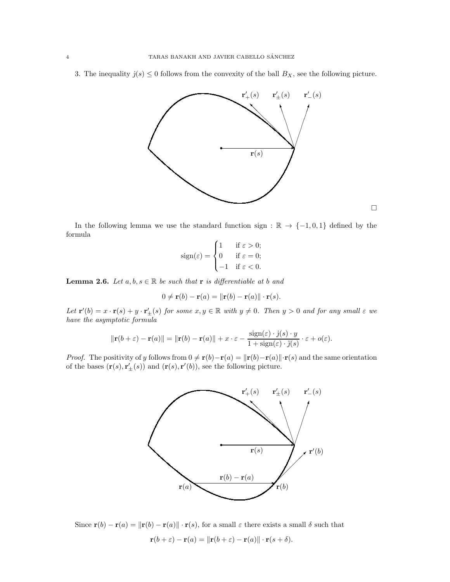3. The inequality  $j(s) \leq 0$  follows from the convexity of the ball  $B_X$ , see the following picture.



 $\Box$ 

In the following lemma we use the standard function sign :  $\mathbb{R} \to \{-1,0,1\}$  defined by the formula

$$
sign(\varepsilon) = \begin{cases} 1 & \text{if } \varepsilon > 0; \\ 0 & \text{if } \varepsilon = 0; \\ -1 & \text{if } \varepsilon < 0. \end{cases}
$$

<span id="page-3-0"></span>**Lemma 2.6.** Let  $a, b, s \in \mathbb{R}$  be such that **r** is differentiable at b and

$$
0 \neq \mathbf{r}(b) - \mathbf{r}(a) = \|\mathbf{r}(b) - \mathbf{r}(a)\| \cdot \mathbf{r}(s).
$$

Let  $\mathbf{r}'(b) = x \cdot \mathbf{r}(s) + y \cdot \mathbf{r}'_{\pm}(s)$  for some  $x, y \in \mathbb{R}$  with  $y \neq 0$ . Then  $y > 0$  and for any small  $\varepsilon$  we have the asymptotic formula

$$
\|\mathbf{r}(b+\varepsilon)-\mathbf{r}(a)\| = \|\mathbf{r}(b)-\mathbf{r}(a)\| + x \cdot \varepsilon - \frac{\operatorname{sign}(\varepsilon) \cdot j(s) \cdot y}{1 + \operatorname{sign}(\varepsilon) \cdot j(s)} \cdot \varepsilon + o(\varepsilon).
$$

*Proof.* The positivity of y follows from  $0 \neq r(b)-r(a) = ||r(b)-r(a)|| \cdot r(s)$  and the same orientation of the bases  $(\mathbf{r}(s), \mathbf{r}'_{\pm}(s))$  and  $(\mathbf{r}(s), \mathbf{r}'(b))$ , see the following picture.



Since  $\mathbf{r}(b) - \mathbf{r}(a) = ||\mathbf{r}(b) - \mathbf{r}(a)|| \cdot \mathbf{r}(s)$ , for a small  $\varepsilon$  there exists a small  $\delta$  such that  $\mathbf{r}(b+\varepsilon) - \mathbf{r}(a) = ||\mathbf{r}(b+\varepsilon) - \mathbf{r}(a)|| \cdot \mathbf{r}(s+\delta).$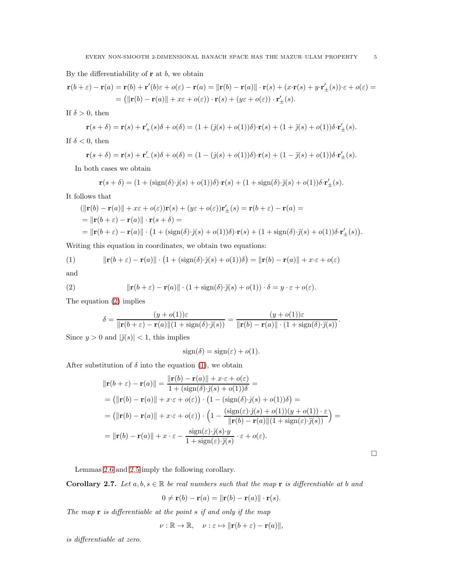By the differentiability of  $\mathbf r$  at  $b$ , we obtain

$$
\mathbf{r}(b+\varepsilon) - \mathbf{r}(a) = \mathbf{r}(b) + \mathbf{r}'(b)\varepsilon + o(\varepsilon) - \mathbf{r}(a) = ||\mathbf{r}(b) - \mathbf{r}(a)|| \cdot \mathbf{r}(s) + (x \cdot \mathbf{r}(s) + y \cdot \mathbf{r}'_{\pm}(s)) \cdot \varepsilon + o(\varepsilon) =
$$
  
= (||\mathbf{r}(b) - \mathbf{r}(a)|| + x\varepsilon + o(\varepsilon)) \cdot \mathbf{r}(s) + (y\varepsilon + o(\varepsilon)) \cdot \mathbf{r}'\_{\pm}(s).

If  $\delta > 0$ , then

$$
\mathbf{r}(s+\delta) = \mathbf{r}(s) + \mathbf{r}'_+(s)\delta + o(\delta) = (1 + (j(s) + o(1))\delta) \cdot \mathbf{r}(s) + (1 + j(s) + o(1))\delta \cdot \mathbf{r}'_\pm(s).
$$

If  $\delta < 0$ , then

$$
\mathbf{r}(s+\delta) = \mathbf{r}(s) + \mathbf{r}'_-(s)\delta + o(\delta) = (1 - (j(s) + o(1))\delta)\cdot\mathbf{r}(s) + (1 - j(s) + o(1))\delta\cdot\mathbf{r}'_+(s).
$$

In both cases we obtain

$$
\mathbf{r}(s+\delta) = (1+(\text{sign}(\delta)\cdot j(s) + o(1))\delta)\cdot \mathbf{r}(s) + (1+\text{sign}(\delta)\cdot j(s) + o(1))\delta\cdot \mathbf{r}'_{\pm}(s).
$$

It follows that

$$
(\|\mathbf{r}(b) - \mathbf{r}(a)\| + x\varepsilon + o(\varepsilon)\mathbf{r}(s) + (y\varepsilon + o(\varepsilon))\mathbf{r}'_{\pm}(s) = \mathbf{r}(b + \varepsilon) - \mathbf{r}(a) =
$$
  
=  $||\mathbf{r}(b + \varepsilon) - \mathbf{r}(a)|| \cdot \mathbf{r}(s + \delta) =$   
=  $||\mathbf{r}(b + \varepsilon) - \mathbf{r}(a)|| \cdot (1 + (\text{sign}(\delta) \cdot j(s) + o(1))\delta) \cdot \mathbf{r}(s) + (1 + \text{sign}(\delta) \cdot j(s) + o(1))\delta \cdot \mathbf{r}'_{\pm}(s)).$ 

Writing this equation in coordinates, we obtain two equations:

<span id="page-4-1"></span>(1) 
$$
\|\mathbf{r}(b+\varepsilon)-\mathbf{r}(a)\|\cdot(1+(\text{sign}(\delta)\cdot j(s)+o(1))\delta)=\|\mathbf{r}(b)-\mathbf{r}(a)\|+x\cdot\varepsilon+o(\varepsilon)
$$

and

(2) 
$$
\|\mathbf{r}(b+\varepsilon)-\mathbf{r}(a)\|\cdot(1+\text{sign}(\delta)\cdot\ddot{y}(s)+o(1))\cdot\delta=y\cdot\varepsilon+o(\varepsilon).
$$

The equation [\(2\)](#page-4-0) implies

<span id="page-4-0"></span>
$$
\delta = \frac{(y + o(1))\varepsilon}{\|\mathbf{r}(b + \varepsilon) - \mathbf{r}(a)\| (1 + \text{sign}(\delta) \cdot \ddot{y}(s))} = \frac{(y + o(1))\varepsilon}{\|\mathbf{r}(b) - \mathbf{r}(a)\| \cdot (1 + \text{sign}(\delta) \cdot \ddot{y}(s))}.
$$

Since  $y > 0$  and  $|\tilde{y}(s)| < 1$ , this implies

 $sign(\delta) = sign(\varepsilon) + o(1).$ 

After substitution of  $\delta$  into the equation [\(1\)](#page-4-1), we obtain

$$
\|\mathbf{r}(b+\varepsilon) - \mathbf{r}(a)\| = \frac{\|\mathbf{r}(b) - \mathbf{r}(a)\| + x \cdot \varepsilon + o(\varepsilon)}{1 + (\text{sign}(\delta) \cdot j(s) + o(1))\delta} =
$$
  
\n
$$
= (\|\mathbf{r}(b) - \mathbf{r}(a)\| + x \cdot \varepsilon + o(\varepsilon)) \cdot (1 - (\text{sign}(\delta) \cdot j(s) + o(1))\delta) =
$$
  
\n
$$
= (\|\mathbf{r}(b) - \mathbf{r}(a)\| + x \cdot \varepsilon + o(\varepsilon)) \cdot \left(1 - \frac{(\text{sign}(\varepsilon) \cdot j(s) + o(1))(y + o(1)) \cdot \varepsilon}{\|\mathbf{r}(b) - \mathbf{r}(a)\| (1 + \text{sign}(\varepsilon) \cdot j(s))}\right) =
$$
  
\n
$$
= \|\mathbf{r}(b) - \mathbf{r}(a)\| + x \cdot \varepsilon - \frac{\text{sign}(\varepsilon) \cdot j(s) \cdot y}{1 + \text{sign}(\varepsilon) \cdot j(s)} \cdot \varepsilon + o(\varepsilon).
$$

 $\Box$ 

Lemmas [2.6](#page-3-0) and 2.5 imply the following corollary.

Corollary 2.7. Let  $a, b, s \in \mathbb{R}$  be real numbers such that the map r is differentiable at b and

$$
0 \neq \mathbf{r}(b) - \mathbf{r}(a) = \|\mathbf{r}(b) - \mathbf{r}(a)\| \cdot \mathbf{r}(s).
$$

The map  $\bf{r}$  is differentiable at the point  $\bf{s}$  if and only if the map

 $\nu : \mathbb{R} \to \mathbb{R}, \quad \nu : \varepsilon \mapsto ||\mathbf{r}(b+\varepsilon) - \mathbf{r}(a)||,$ 

is differentiable at zero.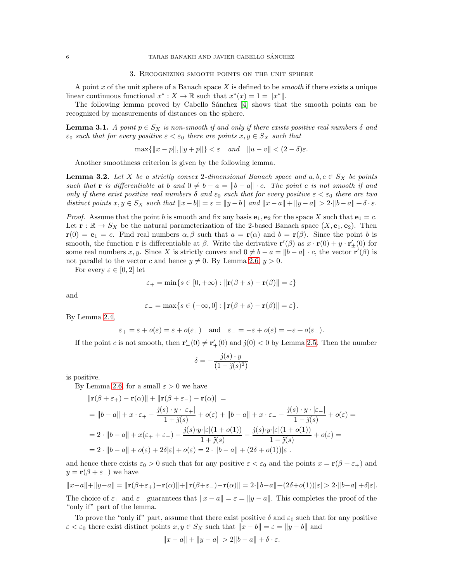# 3. Recognizing smooth points on the unit sphere

A point x of the unit sphere of a Banach space X is defined to be *smooth* if there exists a unique linear continuous functional  $x^* : X \to \mathbb{R}$  such that  $x^*(x) = 1 = ||x^*||$ .

The following lemma proved by Cabello Sánchez [\[4\]](#page-12-10) shows that the smooth points can be recognized by measurements of distances on the sphere.

<span id="page-5-0"></span>**Lemma 3.1.** A point  $p \in S_X$  is non-smooth if and only if there exists positive real numbers  $\delta$  and  $\varepsilon_0$  such that for every positive  $\varepsilon < \varepsilon_0$  there are points  $x, y \in S_X$  such that

 $\max\{\|x-p\|, \|y+p\|\} < \varepsilon \quad and \quad \|u-v\| < (2-\delta)\varepsilon.$ 

Another smoothness criterion is given by the following lemma.

**Lemma 3.2.** Let X be a strictly convex 2-dimensional Banach space and  $a, b, c \in S_X$  be points such that **r** is differentiable at b and  $0 \neq b - a = ||b - a|| \cdot c$ . The point c is not smooth if and only if there exist positive real numbers  $\delta$  and  $\varepsilon_0$  such that for every positive  $\varepsilon < \varepsilon_0$  there are two distinct points  $x, y \in S_X$  such that  $||x - b|| = \varepsilon = ||y - b||$  and  $||x - a|| + ||y - a|| > 2 \cdot ||b - a|| + \delta \cdot \varepsilon$ .

*Proof.* Assume that the point b is smooth and fix any basis  $e_1, e_2$  for the space X such that  $e_1 = c$ . Let  $\mathbf{r} : \mathbb{R} \to S_X$  be the natural parameterization of the 2-based Banach space  $(X, \mathbf{e}_1, \mathbf{e}_2)$ . Then  $\mathbf{r}(0) = \mathbf{e}_1 = c$ . Find real numbers  $\alpha, \beta$  such that  $a = \mathbf{r}(\alpha)$  and  $b = \mathbf{r}(\beta)$ . Since the point b is smooth, the function **r** is differentiable at  $\beta$ . Write the derivative **r'**( $\beta$ ) as  $x \cdot \mathbf{r}(0) + y \cdot \mathbf{r}'_{\pm}(0)$  for some real numbers x, y. Since X is strictly convex and  $0 \neq b - a = ||b - a|| \cdot c$ , the vector  $\mathbf{r}'(\beta)$  is not parallel to the vector c and hence  $y \neq 0$ . By Lemma [2.6,](#page-3-0)  $y > 0$ .

For every  $\varepsilon \in [0,2]$  let

$$
\varepsilon_+ = \min\{s \in [0, +\infty) : ||\mathbf{r}(\beta + s) - \mathbf{r}(\beta)|| = \varepsilon\}
$$

and

$$
\varepsilon_{-} = \max\{s \in (-\infty, 0] : ||\mathbf{r}(\beta + s) - \mathbf{r}(\beta)|| = \varepsilon\}.
$$

By Lemma [2.4,](#page-2-0)

$$
\varepsilon_+ = \varepsilon + o(\varepsilon) = \varepsilon + o(\varepsilon_+)
$$
 and  $\varepsilon_- = -\varepsilon + o(\varepsilon) = -\varepsilon + o(\varepsilon_-).$ 

If the point c is not smooth, then  $\mathbf{r}'_-(0) \neq \mathbf{r}'_+(0)$  and  $j(0) < 0$  by Lemma 2.5. Then the number

$$
\delta = -\frac{j(s) \cdot y}{(1 - j(s)^2)}
$$

is positive.

By Lemma [2.6,](#page-3-0) for a small  $\varepsilon > 0$  we have

$$
\|\mathbf{r}(\beta + \varepsilon_{+}) - \mathbf{r}(\alpha)\| + \|\mathbf{r}(\beta + \varepsilon_{-}) - \mathbf{r}(\alpha)\| =
$$
\n
$$
= \|b - a\| + x \cdot \varepsilon_{+} - \frac{j(s) \cdot y \cdot |\varepsilon_{+}|}{1 + j(s)} + o(\varepsilon) + \|b - a\| + x \cdot \varepsilon_{-} - \frac{j(s) \cdot y \cdot |\varepsilon_{-}|}{1 - j(s)} + o(\varepsilon) =
$$
\n
$$
= 2 \cdot \|b - a\| + x(\varepsilon_{+} + \varepsilon_{-}) - \frac{j(s) \cdot y \cdot |\varepsilon|(1 + o(1))}{1 + j(s)} - \frac{j(s) \cdot y \cdot |\varepsilon|(1 + o(1))}{1 - j(s)} + o(\varepsilon) =
$$
\n
$$
= 2 \cdot \|b - a\| + o(\varepsilon) + 2\delta |\varepsilon| + o(\varepsilon) = 2 \cdot \|b - a\| + (2\delta + o(1))|\varepsilon|.
$$

and hence there exists  $\varepsilon_0 > 0$  such that for any positive  $\varepsilon < \varepsilon_0$  and the points  $x = \mathbf{r}(\beta + \varepsilon_+)$  and  $y = \mathbf{r}(\beta + \varepsilon_{-})$  we have

 $\|x-a\|+\|y-a\|=\|\mathbf{r}(\beta+\varepsilon_+)-\mathbf{r}(\alpha)\|+\|\mathbf{r}(\beta+\varepsilon_-)-\mathbf{r}(\alpha)\|=2\cdot\|b-a\|+(2\delta+o(1))|\varepsilon|>2\cdot\|b-a\|+\delta|\varepsilon|.$ The choice of  $\varepsilon_+$  and  $\varepsilon_-$  guarantees that  $||x - a|| = \varepsilon = ||y - a||$ . This completes the proof of the "only if" part of the lemma.

To prove the "only if" part, assume that there exist positive  $\delta$  and  $\varepsilon_0$  such that for any positive  $\varepsilon < \varepsilon_0$  there exist distinct points  $x, y \in S_X$  such that  $||x - b|| = \varepsilon = ||y - b||$  and

$$
||x - a|| + ||y - a|| > 2||b - a|| + \delta \cdot \varepsilon.
$$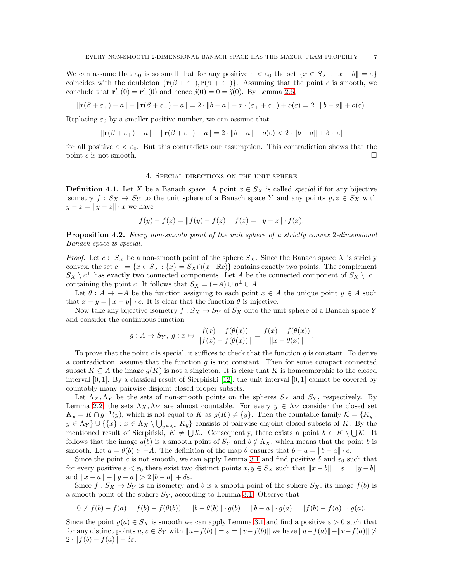We can assume that  $\varepsilon_0$  is so small that for any positive  $\varepsilon < \varepsilon_0$  the set  $\{x \in S_X : ||x - b|| = \varepsilon\}$ coincides with the doubleton  $\{r(\beta + \varepsilon_+), r(\beta + \varepsilon_-)\}\$ . Assuming that the point c is smooth, we conclude that  ${\bf r}'_{-}(0) = {\bf r}'_{+}(0)$  and hence  $j(0) = 0 = j(0)$ . By Lemma [2.6,](#page-3-0)

$$
\|\mathbf{r}(\beta+\varepsilon_{+})-a\|+\|\mathbf{r}(\beta+\varepsilon_{-})-a\|=2\cdot\|b-a\|+x\cdot(\varepsilon_{+}+\varepsilon_{-})+o(\varepsilon)=2\cdot\|b-a\|+o(\varepsilon).
$$

Replacing  $\varepsilon_0$  by a smaller positive number, we can assume that

$$
\|\mathbf{r}(\beta+\varepsilon_+) - a\| + \|\mathbf{r}(\beta+\varepsilon_-) - a\| = 2 \cdot \|b - a\| + o(\varepsilon) < 2 \cdot \|b - a\| + \delta \cdot |\varepsilon|
$$

<span id="page-6-1"></span>for all positive  $\varepsilon < \varepsilon_0$ . But this contradicts our assumption. This contradiction shows that the point c is not smooth.

#### 4. Special directions on the unit sphere

**Definition 4.1.** Let X be a Banach space. A point  $x \in S_X$  is called *special* if for any bijective isometry  $f : S_X \to S_Y$  to the unit sphere of a Banach space Y and any points  $y, z \in S_X$  with  $y - z = ||y - z|| \cdot x$  we have

$$
f(y) - f(z) = ||f(y) - f(z)|| \cdot f(x) = ||y - z|| \cdot f(x).
$$

<span id="page-6-0"></span>Proposition 4.2. Every non-smooth point of the unit sphere of a strictly convex 2-dimensional Banach space is special.

*Proof.* Let  $c \in S_X$  be a non-smooth point of the sphere  $S_X$ . Since the Banach space X is strictly convex, the set  $c^{\perp} = \{x \in S_X : \{x\} = S_X \cap (x + \mathbb{R}c)\}\)$  contains exactly two points. The complement  $S_X \setminus c^{\perp}$  has exactly two connected components. Let A be the connected component of  $S_X \setminus c^{\perp}$ containing the point c. It follows that  $S_X = (-A) \cup p^{\perp} \cup A$ .

Let  $\theta : A \to -A$  be the function assigning to each point  $x \in A$  the unique point  $y \in A$  such that  $x - y = ||x - y|| \cdot c$ . It is clear that the function  $\theta$  is injective.

Now take any bijective isometry  $f : S_X \to S_Y$  of  $S_X$  onto the unit sphere of a Banach space Y and consider the continuous function

$$
g: A \to S_Y, \ g: x \mapsto \frac{f(x) - f(\theta(x))}{\|f(x) - f(\theta(x))\|} = \frac{f(x) - f(\theta(x))}{\|x - \theta(x)\|}.
$$

To prove that the point c is special, it suffices to check that the function q is constant. To derive a contradiction, assume that the function  $g$  is not constant. Then for some compact connected subset  $K \subseteq A$  the image  $g(K)$  is not a singleton. It is clear that K is homeomorphic to the closed interval [0, 1]. By a classical result of Sierpinski [\[12\]](#page-12-13), the unit interval [0, 1] cannot be covered by countably many pairwise disjoint closed proper subsets.

Let  $\Lambda_X, \Lambda_Y$  be the sets of non-smooth points on the spheres  $S_X$  and  $S_Y$ , respectively. By Lemma [2.2,](#page-2-1) the sets  $\Lambda_X, \Lambda_Y$  are almost countable. For every  $y \in \Lambda_Y$  consider the closed set  $K_y = K \cap g^{-1}(y)$ , which is not equal to K as  $g(K) \neq \{y\}$ . Then the countable family  $\mathcal{K} = \{K_y :$  $y \in \Lambda_Y$   $\cup$  { $\{x\}$  :  $x \in \Lambda_X \setminus \bigcup_{y \in \Lambda_Y} K_y$ } consists of pairwise disjoint closed subsets of K. By the mentioned result of Sierpiński,  $K \neq \bigcup \mathcal{K}$ . Consequently, there exists a point  $b \in K \setminus \bigcup \mathcal{K}$ . It follows that the image  $g(b)$  is a smooth point of  $S_Y$  and  $b \notin \Lambda_X$ , which means that the point b is smooth. Let  $a = \theta(b) \in -A$ . The definition of the map  $\theta$  ensures that  $b - a = ||b - a|| \cdot c$ .

Since the point c is not smooth, we can apply Lemma [3.1](#page-5-0) and find positive  $\delta$  and  $\varepsilon_0$  such that for every positive  $\varepsilon < \varepsilon_0$  there exist two distinct points  $x, y \in S_X$  such that  $||x - b|| = \varepsilon = ||y - b||$ and  $||x - a|| + ||y - a|| > 2||b - a|| + \delta \varepsilon$ .

Since  $f: S_X \to S_Y$  is an isometry and b is a smooth point of the sphere  $S_X$ , its image  $f(b)$  is a smooth point of the sphere  $S_Y$ , according to Lemma [3.1.](#page-5-0) Observe that

$$
0 \neq f(b) - f(a) = f(b) - f(\theta(b)) = ||b - \theta(b)|| \cdot g(b) = ||b - a|| \cdot g(a) = ||f(b) - f(a)|| \cdot g(a).
$$

Since the point  $g(a) \in S_X$  is smooth we can apply Lemma [3.1](#page-5-0) and find a positive  $\varepsilon > 0$  such that for any distinct points  $u, v \in S_Y$  with  $||u-f(b)|| = \varepsilon = ||v-f(b)||$  we have  $||u-f(a)|| + ||v-f(a)|| \ngeq$  $2 \cdot ||f(b) - f(a)|| + \delta \varepsilon.$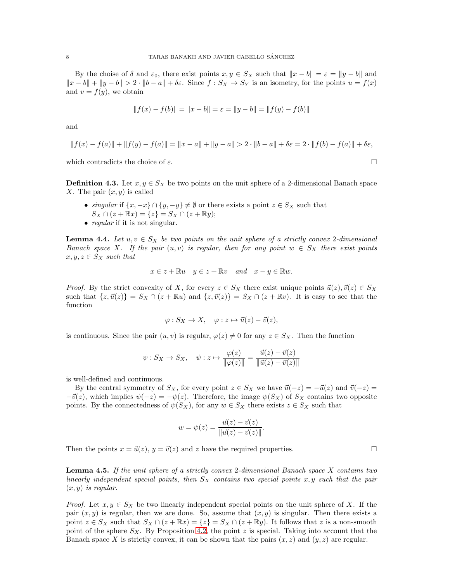By the choise of  $\delta$  and  $\varepsilon_0$ , there exist points  $x, y \in S_X$  such that  $||x - b|| = \varepsilon = ||y - b||$  and  $\|x - b\| + \|y - b\| > 2 \cdot \|b - a\| + \delta \varepsilon$ . Since  $f : S_X \to S_Y$  is an isometry, for the points  $u = f(x)$ and  $v = f(y)$ , we obtain

$$
||f(x) - f(b)|| = ||x - b|| = \varepsilon = ||y - b|| = ||f(y) - f(b)||
$$

and

$$
||f(x) - f(a)|| + ||f(y) - f(a)|| = ||x - a|| + ||y - a|| > 2 \cdot ||b - a|| + \delta \varepsilon = 2 \cdot ||f(b) - f(a)|| + \delta \varepsilon,
$$

which contradicts the choice of  $\varepsilon$ .

**Definition 4.3.** Let  $x, y \in S_X$  be two points on the unit sphere of a 2-dimensional Banach space X. The pair  $(x, y)$  is called

- singular if  $\{x, -x\} \cap \{y, -y\} \neq \emptyset$  or there exists a point  $z \in S_X$  such that  $S_X \cap (z + \mathbb{R}x) = \{z\} = S_X \cap (z + \mathbb{R}y);$
- *regular* if it is not singular.

<span id="page-7-1"></span>**Lemma 4.4.** Let  $u, v \in S_X$  be two points on the unit sphere of a strictly convex 2-dimensional Banach space X. If the pair  $(u, v)$  is regular, then for any point  $w \in S_X$  there exist points  $x, y, z \in S_X$  such that

$$
x \in z + \mathbb{R}u
$$
  $y \in z + \mathbb{R}v$  and  $x - y \in \mathbb{R}w$ .

*Proof.* By the strict convexity of X, for every  $z \in S_X$  there exist unique points  $\vec{u}(z), \vec{v}(z) \in S_X$ such that  $\{z, \vec{u}(z)\} = S_X \cap (z + \mathbb{R}u)$  and  $\{z, \vec{v}(z)\} = S_X \cap (z + \mathbb{R}v)$ . It is easy to see that the function

$$
\varphi: S_X \to X, \quad \varphi: z \mapsto \vec{u}(z) - \vec{v}(z),
$$

is continuous. Since the pair  $(u, v)$  is regular,  $\varphi(z) \neq 0$  for any  $z \in S_X$ . Then the function

$$
\psi: S_X \to S_X, \quad \psi: z \mapsto \frac{\varphi(z)}{\|\varphi(z)\|} = \frac{\vec{u}(z) - \vec{v}(z)}{\|\vec{u}(z) - \vec{v}(z)\|}
$$

is well-defined and continuous.

By the central symmetry of  $S_X$ , for every point  $z \in S_X$  we have  $\vec{u}(-z) = -\vec{u}(z)$  and  $\vec{v}(-z) = -\vec{u}(z)$  $-\vec{v}(z)$ , which implies  $\psi(-z) = -\psi(z)$ . Therefore, the image  $\psi(S_X)$  of  $S_X$  contains two opposite points. By the connectedness of  $\psi(S_X)$ , for any  $w \in S_X$  there exists  $z \in S_X$  such that

$$
w = \psi(z) = \frac{\vec{u}(z) - \vec{v}(z)}{\|\vec{u}(z) - \vec{v}(z)\|}.
$$

Then the points  $x = \vec{u}(z)$ ,  $y = \vec{v}(z)$  and z have the required properties.

<span id="page-7-0"></span>**Lemma 4.5.** If the unit sphere of a strictly convex 2-dimensional Banach space  $X$  contains two linearly independent special points, then  $S_X$  contains two special points x, y such that the pair  $(x, y)$  is regular.

*Proof.* Let  $x, y \in S_X$  be two linearly independent special points on the unit sphere of X. If the pair  $(x, y)$  is regular, then we are done. So, assume that  $(x, y)$  is singular. Then there exists a point  $z \in S_X$  such that  $S_X \cap (z + \mathbb{R}x) = \{z\} = S_X \cap (z + \mathbb{R}y)$ . It follows that z is a non-smooth point of the sphere  $S_X$ . By Proposition [4.2,](#page-6-0) the point z is special. Taking into account that the Banach space X is strictly convex, it can be shown that the pairs  $(x, z)$  and  $(y, z)$  are regular.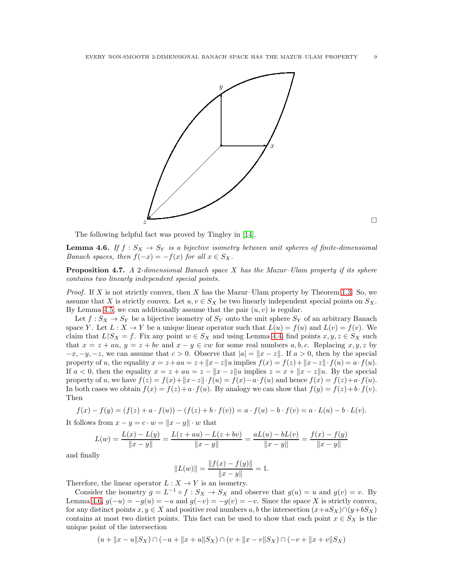

The following helpful fact was proved by Tingley in [\[14\]](#page-12-2).

<span id="page-8-1"></span>**Lemma 4.6.** If  $f : S_X \to S_Y$  is a bijective isometry between unit spheres of finite-dimensional Banach spaces, then  $f(-x) = -f(x)$  for all  $x \in S_X$ .

<span id="page-8-0"></span>**Proposition 4.7.** A 2-dimensional Banach space  $X$  has the Mazur–Ulam property if its sphere contains two linearly independent special points.

*Proof.* If X is not strictly convex, then X has the Mazur–Ulam property by Theorem [1.3.](#page-0-1) So, we assume that X is strictly convex. Let  $u, v \in S_X$  be two linearly independent special points on  $S_X$ . By Lemma [4.5,](#page-7-0) we can additionally assume that the pair  $(u, v)$  is regular.

Let  $f: S_X \to S_Y$  be a bijective isometry of  $S_Y$  onto the unit sphere  $S_Y$  of an arbitrary Banach space Y. Let  $L: X \to Y$  be a unique linear operator such that  $L(u) = f(u)$  and  $L(v) = f(v)$ . We claim that  $L\upharpoonright S_X = f$ . Fix any point  $w \in S_X$  and using Lemma [4.4,](#page-7-1) find points  $x, y, z \in S_X$  such that  $x = z + au$ ,  $y = z + bv$  and  $x - y \in cw$  for some real numbers  $a, b, c$ . Replacing  $x, y, z$  by  $-x, -y, -z$ , we can assume that  $c > 0$ . Observe that  $|a| = ||x - z||$ . If  $a > 0$ , then by the special property of u, the equality  $x = z + au = z + ||x-z||$  implies  $f(x) = f(z) + ||x-z|| \cdot f(u) = a \cdot f(u)$ . If  $a < 0$ , then the equality  $x = z + au = z - ||x - z||u$  implies  $z = x + ||x - z||u$ . By the special property of u, we have  $f(z) = f(x) + ||x-z|| \cdot f(u) = f(x) - a \cdot f(u)$  and hence  $f(x) = f(z) + a \cdot f(u)$ . In both cases we obtain  $f(x) = f(z) + a \cdot f(u)$ . By analogy we can show that  $f(y) = f(z) + b \cdot f(v)$ . Then

$$
f(x) - f(y) = (f(z) + a \cdot f(u)) - (f(z) + b \cdot f(v)) = a \cdot f(u) - b \cdot f(v) = a \cdot L(u) - b \cdot L(v).
$$

It follows from  $x - y = c \cdot w = ||x - y|| \cdot w$  that

$$
L(w) = \frac{L(x) - L(y)}{\|x - y\|} = \frac{L(z + au) - L(z + bv)}{\|x - y\|} = \frac{aL(u) - bL(v)}{\|x - y\|} = \frac{f(x) - f(y)}{\|x - y\|}
$$

and finally

$$
||L(w)|| = \frac{||f(x) - f(y)||}{||x - y||} = 1.
$$

Therefore, the linear operator  $L : X \to Y$  is an isometry.

Consider the isometry  $g = L^{-1} \circ f : S_X \to S_X$  and observe that  $g(u) = u$  and  $g(v) = v$ . By Lemma [4.6,](#page-8-1)  $g(-u) = -g(u) = -u$  and  $g(-v) = -g(v) = -v$ . Since the space X is strictly convex, for any distinct points  $x, y \in X$  and positive real numbers a, b the intersection  $(x+aS_X) \cap (y+bS_X)$ contains at most two distict points. This fact can be used to show that each point  $x \in S_X$  is the unique point of the intersection

$$
(u + ||x - u||S_X) \cap (-u + ||x + u||S_X) \cap (v + ||x - v||S_X) \cap (-v + ||x + v||S_X)
$$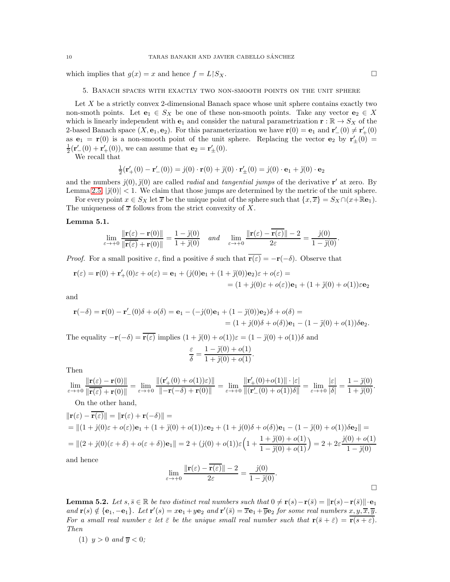which implies that  $g(x) = x$  and hence  $f = L \upharpoonright S_X$ .

# 5. Banach spaces with exactly two non-smooth points on the unit sphere

Let  $X$  be a strictly convex 2-dimensional Banach space whose unit sphere contains exactly two non-smoth points. Let  $e_1 \in S_X$  be one of these non-smooth points. Take any vector  $e_2 \in X$ which is linearly independent with  $e_1$  and consider the natural parametrization  $r : \mathbb{R} \to S_X$  of the 2-based Banach space  $(X, e_1, e_2)$ . For this parameterization we have  $\mathbf{r}(0) = \mathbf{e}_1$  and  $\mathbf{r}'_-(0) \neq \mathbf{r}'_+(0)$ as  $e_1 = r(0)$  is a non-smooth point of the unit sphere. Replacing the vector  $e_2$  by  $r'_{\pm}(0) =$  $\frac{1}{2}(\mathbf{r}'_-(0) + \mathbf{r}'_+(0)),$  we can assume that  $\mathbf{e}_2 = \mathbf{r}'_{\pm}(0).$ 

We recall that

$$
\frac{1}{2}(\mathbf{r}'_{+}(0) - \mathbf{r}'_{-}(0)) = j(0) \cdot \mathbf{r}(0) + j(0) \cdot \mathbf{r}'_{+}(0) = j(0) \cdot \mathbf{e}_{1} + j(0) \cdot \mathbf{e}_{2}
$$

and the numbers  $j(0), j(0)$  are called *radial* and *tangential jumps* of the derivative  $\mathbf{r}'$  at zero. By Lemma 2.5,  $|\tilde{y}(0)| < 1$ . We claim that those jumps are determined by the metric of the unit sphere.

For every point  $x \in S_X$  let  $\overline{x}$  be the unique point of the sphere such that  $\{x, \overline{x}\} = S_X \cap (x + \mathbb{R}e_1)$ . The uniqueness of  $\overline{x}$  follows from the strict convexity of X.

# <span id="page-9-1"></span>Lemma 5.1.

$$
\lim_{\varepsilon \to +0} \frac{\|\mathbf{r}(\varepsilon) - \mathbf{r}(0)\|}{\|\mathbf{r}(\varepsilon) + \mathbf{r}(0)\|} = \frac{1 - \ddot{j}(0)}{1 + \ddot{j}(0)} \quad and \quad \lim_{\varepsilon \to +0} \frac{\|\mathbf{r}(\varepsilon) - \overline{\mathbf{r}(\varepsilon)}\| - 2}{2\varepsilon} = \frac{\dot{j}(0)}{1 - \ddot{j}(0)}.
$$

*Proof.* For a small positive  $\varepsilon$ , find a positive  $\delta$  such that  $\overline{\mathbf{r}(\varepsilon)} = -\mathbf{r}(-\delta)$ . Observe that

$$
\mathbf{r}(\varepsilon) = \mathbf{r}(0) + \mathbf{r}'_{+}(0)\varepsilon + o(\varepsilon) = \mathbf{e}_{1} + (j(0)\mathbf{e}_{1} + (1 + j(0))\mathbf{e}_{2})\varepsilon + o(\varepsilon) =
$$
  
=  $(1 + j(0)\varepsilon + o(\varepsilon))\mathbf{e}_{1} + (1 + j(0) + o(1))\varepsilon\mathbf{e}_{2}$ 

and

$$
\mathbf{r}(-\delta) = \mathbf{r}(0) - \mathbf{r}'_{-}(0)\delta + o(\delta) = \mathbf{e}_{1} - (-j(0)\mathbf{e}_{1} + (1 - j(0))\mathbf{e}_{2})\delta + o(\delta) =
$$
  
=  $(1 + j(0)\delta + o(\delta))\mathbf{e}_{1} - (1 - j(0) + o(1))\delta\mathbf{e}_{2}.$ 

The equality  $-\mathbf{r}(-\delta) = \overline{\mathbf{r}(\varepsilon)}$  implies  $(1 + \ddot{j}(0) + o(1))\varepsilon = (1 - \ddot{j}(0) + o(1))\delta$  and ε  $\frac{\varepsilon}{\delta} = \frac{1 - \ddot{j}(0) + o(1)}{1 + \ddot{j}(0) + o(1)}.$ 

Then

$$
\lim_{\varepsilon \to +0} \frac{\|\mathbf{r}(\varepsilon) - \mathbf{r}(0)\|}{\|\mathbf{r}(\varepsilon) + \mathbf{r}(0)\|} = \lim_{\varepsilon \to +0} \frac{\|(\mathbf{r}'_+(0) + o(1))\varepsilon)\|}{\|- \mathbf{r}(-\delta) + \mathbf{r}(0)\|} = \lim_{\varepsilon \to +0} \frac{\|\mathbf{r}'_+(0) + o(1)\| \cdot |\varepsilon|}{\| (\mathbf{r}'_-(0) + o(1))\delta \|} = \lim_{\varepsilon \to +0} \frac{|\varepsilon|}{|\delta|} = \frac{1 - j(0)}{1 + j(0)}.
$$

On the other hand,

$$
\|\mathbf{r}(\varepsilon) - \mathbf{r}(\varepsilon)\| = \|\mathbf{r}(\varepsilon) + \mathbf{r}(-\delta)\| =
$$
  
=  $||(1 + j(0)\varepsilon + o(\varepsilon))\mathbf{e}_1 + (1 + j(0) + o(1))\varepsilon \mathbf{e}_2 + (1 + j(0)\delta + o(\delta))\mathbf{e}_1 - (1 - j(0) + o(1))\delta \mathbf{e}_2|| =$   
=  $||(2 + j(0)(\varepsilon + \delta) + o(\varepsilon + \delta))\mathbf{e}_1|| = 2 + (j(0) + o(1))\varepsilon \left(1 + \frac{1 + j(0) + o(1)}{1 - j(0) + o(1)}\right) = 2 + 2\varepsilon \frac{j(0) + o(1)}{1 - j(0)}$ 

and hence

$$
\lim_{\varepsilon \to +0} \frac{\|\mathbf{r}(\varepsilon) - \overline{\mathbf{r}(\varepsilon)}\| - 2}{2\varepsilon} = \frac{j(0)}{1 - j(0)}.
$$

<span id="page-9-0"></span>**Lemma 5.2.** Let  $s, \overline{s} \in \mathbb{R}$  be two distinct real numbers such that  $0 \neq r(s) - r(\overline{s}) = ||r(s) - r(\overline{s})|| \cdot e_1$ and  $\mathbf{r}(s) \notin \{\mathbf{e}_1, -\mathbf{e}_1\}$ . Let  $\mathbf{r}'(s) = x\mathbf{e}_1 + y\mathbf{e}_2$  and  $\mathbf{r}'(\bar{s}) = \overline{x}\mathbf{e}_1 + \overline{y}\mathbf{e}_2$  for some real numbers  $x, y, \overline{x}, \overline{y}$ . For a small real number  $\varepsilon$  let  $\overline{\varepsilon}$  be the unique small real number such that  $\mathbf{r}(\overline{s} + \overline{\varepsilon}) = \overline{\mathbf{r}(s + \varepsilon)}$ . Then

(1)  $y > 0$  and  $\overline{y} < 0$ ;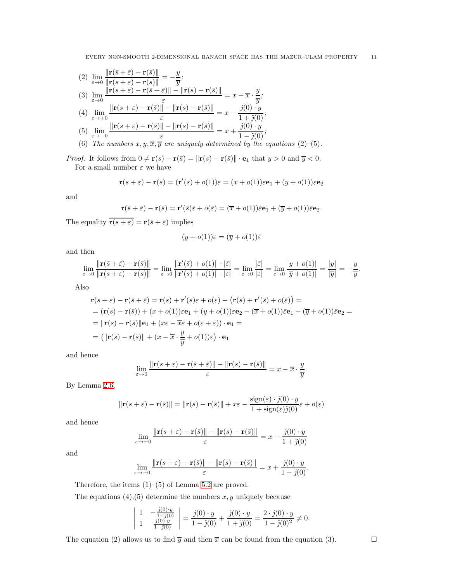(2) 
$$
\lim_{\varepsilon \to 0} \frac{\|\mathbf{r}(\bar{s} + \bar{\varepsilon}) - \mathbf{r}(\bar{s})\|}{\|\mathbf{r}(s + \varepsilon) - \mathbf{r}(s)\|} = -\frac{y}{y};
$$
\n(3) 
$$
\lim_{\varepsilon \to 0} \frac{\|\mathbf{r}(s + \varepsilon) - \mathbf{r}(\bar{s})\| - \|\mathbf{r}(s) - \mathbf{r}(\bar{s})\|}{\varepsilon} = x - \overline{x} \cdot \frac{y}{\overline{y}};
$$
\n(4) 
$$
\lim_{\varepsilon \to +0} \frac{\|\mathbf{r}(s + \varepsilon) - \mathbf{r}(\bar{s})\| - \|\mathbf{r}(s) - \mathbf{r}(\bar{s})\|}{\varepsilon} = x - \frac{j(0) \cdot y}{1 + j(0)};
$$
\n(5) 
$$
\lim_{\varepsilon \to -0} \frac{\|\mathbf{r}(s + \varepsilon) - \mathbf{r}(\bar{s})\| - \|\mathbf{r}(s) - \mathbf{r}(\bar{s})\|}{\varepsilon} = x + \frac{j(0) \cdot y}{1 - j(0)};
$$
\n(6) The numbers  $x, y, \overline{x}, \overline{y}$  are uniquely determined by the equations (2)–(5).

*Proof.* It follows from  $0 \neq \mathbf{r}(s) - \mathbf{r}(\bar{s}) = ||\mathbf{r}(s) - \mathbf{r}(\bar{s})|| \cdot \mathbf{e}_1$  that  $y > 0$  and  $\overline{y} < 0$ . For a small number  $\varepsilon$  we have

$$
\mathbf{r}(s+\varepsilon) - \mathbf{r}(s) = (\mathbf{r}'(s) + o(1))\varepsilon = (x + o(1))\varepsilon \mathbf{e}_1 + (y + o(1))\varepsilon \mathbf{e}_2
$$

and

$$
\mathbf{r}(\bar{s}+\bar{\varepsilon})-\mathbf{r}(\bar{s})=\mathbf{r}'(\bar{s})\bar{\varepsilon}+o(\bar{\varepsilon})=(\overline{x}+o(1))\bar{\varepsilon}\mathbf{e}_1+(\overline{y}+o(1))\bar{\varepsilon}\mathbf{e}_2.
$$

The equality  $\overline{\mathbf{r}(s+\varepsilon)} = \mathbf{r}(\bar{s}+\bar{\varepsilon})$  implies

$$
(y + o(1))\varepsilon = (\overline{y} + o(1))\overline{\varepsilon}
$$

and then

$$
\lim_{\varepsilon \to 0} \frac{\|\mathbf{r}(\bar{s} + \bar{\varepsilon}) - \mathbf{r}(\bar{s})\|}{\|\mathbf{r}(s + \varepsilon) - \mathbf{r}(s)\|} = \lim_{\varepsilon \to 0} \frac{\|\mathbf{r}'(\bar{s}) + o(1)\| \cdot |\bar{\varepsilon}|}{\|\mathbf{r}'(s) + o(1)\| \cdot |\varepsilon|} = \lim_{\varepsilon \to 0} \frac{|\bar{\varepsilon}|}{|\varepsilon|} = \lim_{\varepsilon \to 0} \frac{|y + o(1)|}{|\overline{y} + o(1)|} = \frac{|y|}{|\overline{y}|} = -\frac{y}{\overline{y}}.
$$

Also

$$
\mathbf{r}(s+\varepsilon) - \mathbf{r}(\bar{s}+\bar{\varepsilon}) = \mathbf{r}(s) + \mathbf{r}'(s)\varepsilon + o(\varepsilon) - (\mathbf{r}(\bar{s}) + \mathbf{r}'(\bar{s}) + o(\bar{\varepsilon})) =
$$
\n
$$
= (\mathbf{r}(s) - \mathbf{r}(\bar{s})) + (x + o(1))\varepsilon \mathbf{e}_1 + (y + o(1))\varepsilon \mathbf{e}_2 - (\overline{x} + o(1))\bar{\varepsilon} \mathbf{e}_1 - (\overline{y} + o(1))\bar{\varepsilon} \mathbf{e}_2 =
$$
\n
$$
= ||\mathbf{r}(s) - \mathbf{r}(\bar{s})||\mathbf{e}_1 + (x\varepsilon - \overline{x}\bar{\varepsilon} + o(\varepsilon + \bar{\varepsilon})) \cdot \mathbf{e}_1 =
$$
\n
$$
= (||\mathbf{r}(s) - \mathbf{r}(\bar{s})|| + (x - \overline{x} \cdot \frac{y}{\overline{y}} + o(1))\varepsilon) \cdot \mathbf{e}_1
$$

and hence

$$
\lim_{\varepsilon \to 0} \frac{\|\mathbf{r}(s+\varepsilon) - \mathbf{r}(\bar{s}+\bar{\varepsilon})\| - \|\mathbf{r}(s) - \mathbf{r}(\bar{s})\|}{\varepsilon} = x - \overline{x} \cdot \frac{y}{\overline{y}}.
$$

By Lemma [2.6,](#page-3-0)

$$
\|\mathbf{r}(s+\varepsilon) - \mathbf{r}(\bar{s})\| = \|\mathbf{r}(s) - \mathbf{r}(\bar{s})\| + x\varepsilon - \frac{\text{sign}(\varepsilon) \cdot j(0) \cdot y}{1 + \text{sign}(\varepsilon) \tilde{j}(0)} \varepsilon + o(\varepsilon)
$$

and hence

$$
\lim_{\varepsilon \to +0} \frac{\|\mathbf{r}(s+\varepsilon) - \mathbf{r}(\bar{s})\| - \|\mathbf{r}(s) - \mathbf{r}(\bar{s})\|}{\varepsilon} = x - \frac{j(0) \cdot y}{1 + j(0)}
$$

and

$$
\lim_{\varepsilon \to -0} \frac{\|\mathbf{r}(s+\varepsilon) - \mathbf{r}(\bar{s})\| - \|\mathbf{r}(s) - \mathbf{r}(\bar{s})\|}{\varepsilon} = x + \frac{j(0) \cdot y}{1 - j(0)}.
$$

Therefore, the items  $(1)$ – $(5)$  of Lemma [5.2](#page-9-0) are proved.

 $\overline{\phantom{a}}$  $\overline{\phantom{a}}$  $\overline{\phantom{a}}$  $\overline{\phantom{a}}$  $\mid$ 

The equations  $(4)$ ,  $(5)$  determine the numbers  $x, y$  uniquely because

$$
\begin{vmatrix} 1 & -\frac{j(0)\cdot y}{1+j(0)} \\ 1 & \frac{j(0)\cdot y}{1-j(0)} \end{vmatrix} = \frac{j(0)\cdot y}{1-j(0)} + \frac{j(0)\cdot y}{1+j(0)} = \frac{2 \cdot j(0)\cdot y}{1-j(0)^2} \neq 0.
$$

The equation (2) allows us to find  $\overline{y}$  and then  $\overline{x}$  can be found from the equation (3).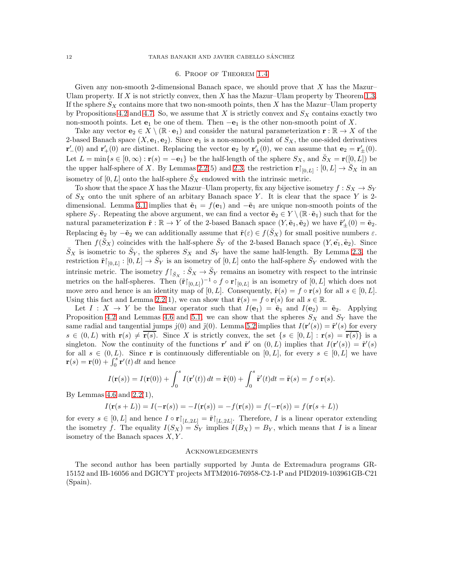# 6. Proof of Theorem [1.4](#page-1-0)

Given any non-smooth 2-dimensional Banach space, we should prove that X has the Mazur– Ulam property. If  $X$  is not strictly convex, then  $X$  has the Mazur–Ulam property by Theorem [1.3.](#page-0-1) If the sphere  $S_X$  contains more that two non-smooth points, then X has the Mazur–Ulam property by Propositions [4.2](#page-6-0) and [4.7.](#page-8-0) So, we assume that X is strictly convex and  $S_X$  contains exactly two non-smooth points. Let  $e_1$  be one of them. Then  $-e_1$  is the other non-smooth point of X.

Take any vector  $\mathbf{e}_2 \in X \setminus (\mathbb{R} \cdot \mathbf{e}_1)$  and consider the natural parameterization  $\mathbf{r} : \mathbb{R} \to X$  of the 2-based Banach space  $(X, e_1, e_2)$ . Since  $e_1$  is a non-smooth point of  $S_X$ , the one-sided derivatives  $\mathbf{r}'_{-}(0)$  and  $\mathbf{r}'_{+}(0)$  are distinct. Replacing the vector  $\mathbf{e}_2$  by  $\mathbf{r}'_{\pm}(0)$ , we can assume that  $\mathbf{e}_2 = \mathbf{r}'_{\pm}(0)$ . Let  $L = \min\{s \in [0, \infty) : \mathbf{r}(s) = -\mathbf{e}_1\}$  be the half-length of the sphere  $S_X$ , and  $\check{S}_X = \mathbf{r}([0, L])$  be the upper half-sphere of X. By Lemmas [2.2\(](#page-2-1)5) and [2.3,](#page-2-2) the restriction  $\mathbf{r}\upharpoonright_{[0,L]}:[0,L]\to \check{S}_X$  in an isometry of [0, L] onto the half-sphere  $\check{S}_X$  endowed with the intrinsic metric.

To show that the space X has the Mazur–Ulam property, fix any bijective isometry  $f: S_X \to S_Y$ of  $S_X$  onto the unit sphere of an arbitary Banach space Y. It is clear that the space Y is 2-dimensional. Lemma [3.1](#page-5-0) implies that  $\tilde{\mathbf{e}}_1 = f(\mathbf{e}_1)$  and  $-\tilde{\mathbf{e}}_1$  are unique non-smooth points of the sphere  $S_Y$ . Repeating the above argument, we can find a vector  $\tilde{e}_2 \in Y \setminus (\mathbb{R} \cdot \tilde{e}_1)$  such that for the natural parameterization  $\tilde{\mathbf{r}} : \mathbb{R} \to Y$  of the 2-based Banach space  $(Y, \tilde{\mathbf{e}}_1, \tilde{\mathbf{e}}_2)$  we have  $\tilde{\mathbf{r}}'_{\pm}(0) = \tilde{\mathbf{e}}_2$ . Replacing  $\tilde{\mathbf{e}}_2$  by  $-\tilde{\mathbf{e}}_2$  we can additionally assume that  $\tilde{\mathbf{r}}(\varepsilon) \in f(S_X)$  for small positive numbers  $\varepsilon$ .

Then  $f(\breve{S}_X)$  coincides with the half-sphere  $\breve{S}_Y$  of the 2-based Banach space  $(Y, \tilde{e_1}, \tilde{e_2})$ . Since  $\breve{S}_X$  is isometric to  $\breve{S}_Y$ , the spheres  $S_X$  and  $S_Y$  have the same half-length. By Lemma [2.3,](#page-2-2) the restriction  $\tilde{\mathbf{r}}|_{[0,L]} : [0,L] \to \tilde{S}_Y$  is an isometry of  $[0,L]$  onto the half-sphere  $\check{S}_Y$  endowed with the intrinsic metric. The isometry  $f\upharpoonright_{\breve{S}_X}: \breve{S}_X \to \breve{S}_Y$  remains an isometry with respect to the intrinsic metrics on the half-spheres. Then  $(\tilde{\mathbf{r}}|_{[0,L]})^{-1} \circ f \circ \mathbf{r} \upharpoonright_{[0,L]}$  is an isometry of  $[0,L]$  which does not move zero and hence is an identity map of  $[0, L]$ . Consequently,  $\tilde{\mathbf{r}}(s) = f \circ \mathbf{r}(s)$  for all  $s \in [0, L]$ . Using this fact and Lemma [2.2\(](#page-2-1)1), we can show that  $\tilde{\mathbf{r}}(s) = f \circ \mathbf{r}(s)$  for all  $s \in \mathbb{R}$ .

Let  $I: X \to Y$  be the linear operator such that  $I(e_1) = \tilde{e}_1$  and  $I(e_2) = \tilde{e}_2$ . Applying Proposition [4.2](#page-6-0) and Lemmas [4.6](#page-8-1) and [5.1,](#page-9-1) we can show that the spheres  $S_X$  and  $S_Y$  have the same radial and tangential jumps  $j(0)$  and  $j(0)$ . Lemma [5.2](#page-9-0) implies that  $I(\mathbf{r}'(s)) = \tilde{\mathbf{r}}'(s)$  for every  $s \in (0,L)$  with  $\mathbf{r}(s) \neq \mathbf{r}(s)$ . Since X is strictly convex, the set  $\{s \in [0,L] : \mathbf{r}(s) = \mathbf{r}(s)\}\$ is a singleton. Now the continuity of the functions **r'** and **r̃'** on  $(0, L)$  implies that  $I(\mathbf{r}'(s)) = \tilde{\mathbf{r}}'(s)$ for all  $s \in (0, L)$ . Since **r** is continuously differentiable on [0, L], for every  $s \in [0, L]$  we have  $\mathbf{r}(s) = \mathbf{r}(0) + \int_0^s \mathbf{r}'(t) dt$  and hence

$$
I(\mathbf{r}(s)) = I(\mathbf{r}(0)) + \int_0^s I(\mathbf{r}'(t)) dt = \tilde{\mathbf{r}}(0) + \int_0^s \tilde{\mathbf{r}}'(t) dt = \tilde{\mathbf{r}}(s) = f \circ \mathbf{r}(s).
$$

By Lemmas [4.6](#page-8-1) and  $2.2(1)$ ,

$$
I(\mathbf{r}(s+L)) = I(-\mathbf{r}(s)) = -I(\mathbf{r}(s)) = -f(\mathbf{r}(s)) = f(-\mathbf{r}(s)) = f(\mathbf{r}(s+L))
$$

for every  $s \in [0, L]$  and hence  $I \circ \mathbf{r} \upharpoonright_{[L, 2L]} = \tilde{\mathbf{r}} \upharpoonright_{[L, 2L]}$ . Therefore, I is a linear operator extending the isometry f. The equality  $I(S_X) = S_Y$  implies  $I(B_X) = B_Y$ , which means that I is a linear isometry of the Banach spaces  $X, Y$ .

#### **ACKNOWLEDGEMENTS**

The second author has been partially supported by Junta de Extremadura programs GR-15152 and IB-16056 and DGICYT projects MTM2016-76958-C2-1-P and PID2019-103961GB-C21 (Spain).